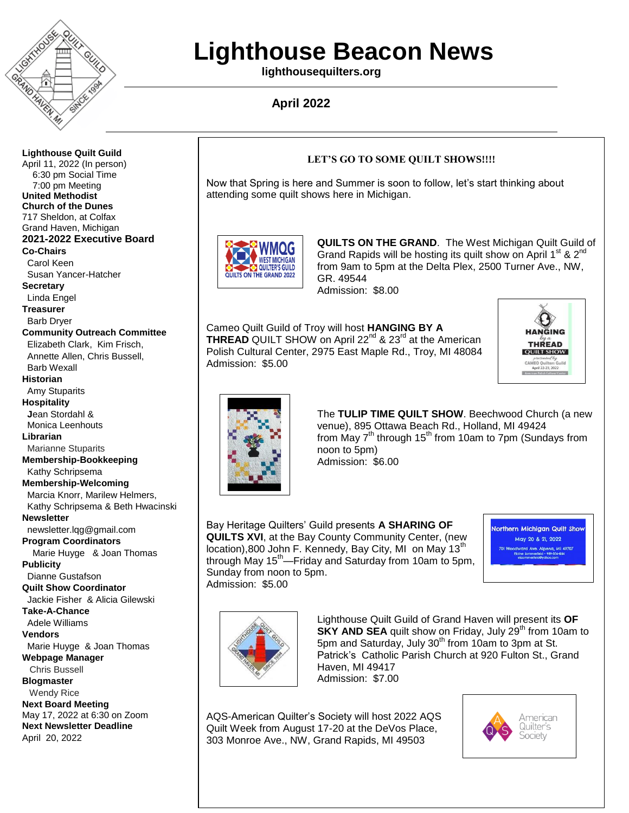

# **Lighthouse Beacon News**

**lighthousequilters.org**

# **April 2022**

**Lighthouse Quilt Guild** April 11, 2022 (In person) 6:30 pm Social Time 7:00 pm Meeting **United Methodist Church of the Dunes** 717 Sheldon, at Colfax Grand Haven, Michigan **2021-2022 Executive Board Co-Chairs** Carol Keen Susan Yancer-Hatcher **Secretary** Linda Engel **Treasurer** Barb Dryer **Community Outreach Committee** Elizabeth Clark, Kim Frisch, Annette Allen, Chris Bussell, Barb Wexall **Historian** Amy Stuparits **Hospitality J**ean Stordahl & Monica Leenhouts **Librarian** Marianne Stuparits **Membership-Bookkeeping** Kathy Schripsema **Membership-Welcoming** Marcia Knorr, Marilew Helmers, Kathy Schripsema & Beth Hwacinski **Newsletter**  newsletter.lqg@gmail.com **Program Coordinators** Marie Huyge & Joan Thomas **Publicity** Dianne Gustafson **Quilt Show Coordinator** Jackie Fisher & Alicia Gilewski **Take-A-Chance** Adele Williams **Vendors** Marie Huyge & Joan Thomas **Webpage Manager** Chris Bussell **Blogmaster** Wendy Rice **Next Board Meeting** May 17, 2022 at 6:30 on Zoom **Next Newsletter Deadline** April 20, 2022

### **LET'S GO TO SOME QUILT SHOWS!!!!**

Now that Spring is here and Summer is soon to follow, let's start thinking about attending some quilt shows here in Michigan.



**QUILTS ON THE GRAND**. The West Michigan Quilt Guild of Grand Rapids will be hosting its quilt show on April 1<sup>st</sup> & 2<sup>nd</sup> from 9am to 5pm at the Delta Plex, 2500 Turner Ave., NW, GR. 49544 Admission: \$8.00

Cameo Quilt Guild of Troy will host **HANGING BY A THREAD** QUILT SHOW on April 22<sup>nd</sup> & 23<sup>rd</sup> at the American Polish Cultural Center, 2975 East Maple Rd., Troy, MI 48084 Admission: \$5.00





The **TULIP TIME QUILT SHOW**. Beechwood Church (a new venue), 895 Ottawa Beach Rd., Holland, MI 49424 from May  $7<sup>th</sup>$  through 15<sup>th</sup> from 10am to 7pm (Sundays from noon to 5pm) Admission: \$6.00

Bay Heritage Quilters' Guild presents **A SHARING OF QUILTS XVI**, at the Bay County Community Center, (new location),800 John F. Kennedy, Bay City, MI on May 13<sup>th</sup> through May 15<sup>th</sup>—Friday and Saturday from 10am to 5pm, Sunday from noon to 5pm. Admission: \$5.00

**Jorthern Michigan Quilt Shov** May 20 & 21, 2022 rd Ave. Alpena, Mi 49707



Lighthouse Quilt Guild of Grand Haven will present its **OF SKY AND SEA** quilt show on Friday, July 29<sup>th</sup> from 10am to 5pm and Saturday, July  $30<sup>th</sup>$  from 10am to 3pm at St. Patrick's Catholic Parish Church at 920 Fulton St., Grand Haven, MI 49417 Admission: \$7.00

AQS-American Quilter's Society will host 2022 AQS Quilt Week from August 17-20 at the DeVos Place, 303 Monroe Ave., NW, Grand Rapids, MI 49503

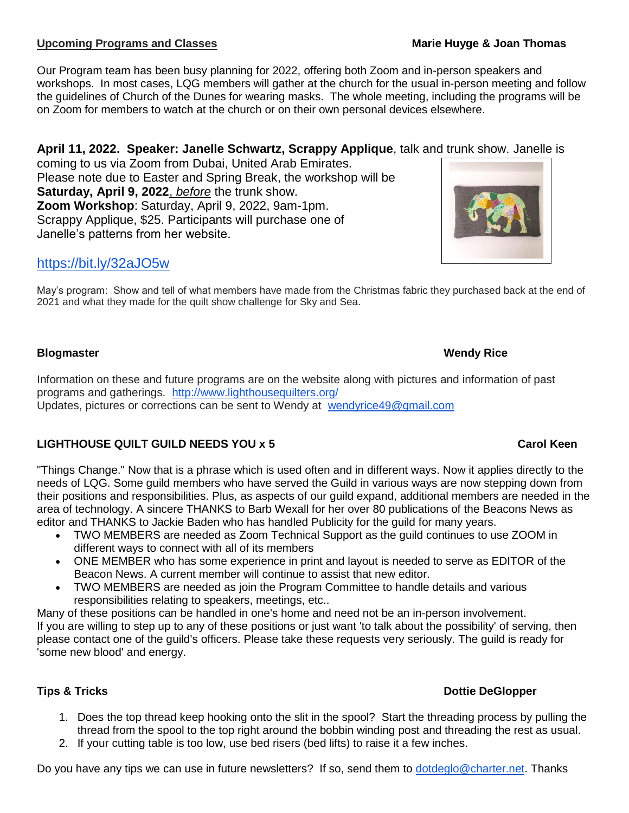# **Upcoming Programs and Classes Marie Huyge & Joan Thomas**

Our Program team has been busy planning for 2022, offering both Zoom and in-person speakers and workshops. In most cases, LQG members will gather at the church for the usual in-person meeting and follow the guidelines of Church of the Dunes for wearing masks. The whole meeting, including the programs will be on Zoom for members to watch at the church or on their own personal devices elsewhere.

# **April 11, 2022. Speaker: Janelle Schwartz, Scrappy Applique**, talk and trunk show. Janelle is

coming to us via Zoom from Dubai, United Arab Emirates. Please note due to Easter and Spring Break, the workshop will be **Saturday, April 9, 2022**, *before* the trunk show. **Zoom Workshop**: Saturday, April 9, 2022, 9am-1pm. Scrappy Applique, \$25. Participants will purchase one of Janelle's patterns from her website.

# <https://bit.ly/32aJO5w>

May's program: Show and tell of what members have made from the Christmas fabric they purchased back at the end of 2021 and what they made for the quilt show challenge for Sky and Sea.

# **Blogmaster Wendy Rice**

Information on these and future programs are on the website along with pictures and information of past programs and gatherings. <http://www.lighthousequilters.org/> Updates, pictures or corrections can be sent to Wendy at [wendyrice49@gmail.com](mailto:wendyrice49@gmail.com)

# **LIGHTHOUSE QUILT GUILD NEEDS YOU x 5 Carol Keen**

"Things Change." Now that is a phrase which is used often and in different ways. Now it applies directly to the needs of LQG. Some guild members who have served the Guild in various ways are now stepping down from their positions and responsibilities. Plus, as aspects of our guild expand, additional members are needed in the area of technology. A sincere THANKS to Barb Wexall for her over 80 publications of the Beacons News as editor and THANKS to Jackie Baden who has handled Publicity for the guild for many years.

- TWO MEMBERS are needed as Zoom Technical Support as the guild continues to use ZOOM in different ways to connect with all of its members
- ONE MEMBER who has some experience in print and layout is needed to serve as EDITOR of the Beacon News. A current member will continue to assist that new editor.
- TWO MEMBERS are needed as join the Program Committee to handle details and various responsibilities relating to speakers, meetings, etc..

Many of these positions can be handled in one's home and need not be an in-person involvement. If you are willing to step up to any of these positions or just want 'to talk about the possibility' of serving, then please contact one of the guild's officers. Please take these requests very seriously. The guild is ready for 'some new blood' and energy.

# **Tips & Tricks Dottie DeGlopper**

- 1. Does the top thread keep hooking onto the slit in the spool? Start the threading process by pulling the thread from the spool to the top right around the bobbin winding post and threading the rest as usual.
- 2. If your cutting table is too low, use bed risers (bed lifts) to raise it a few inches.

Do you have any tips we can use in future newsletters? If so, send them to [dotdeglo@charter.net.](mailto:dotdeglo@charter.net) Thanks

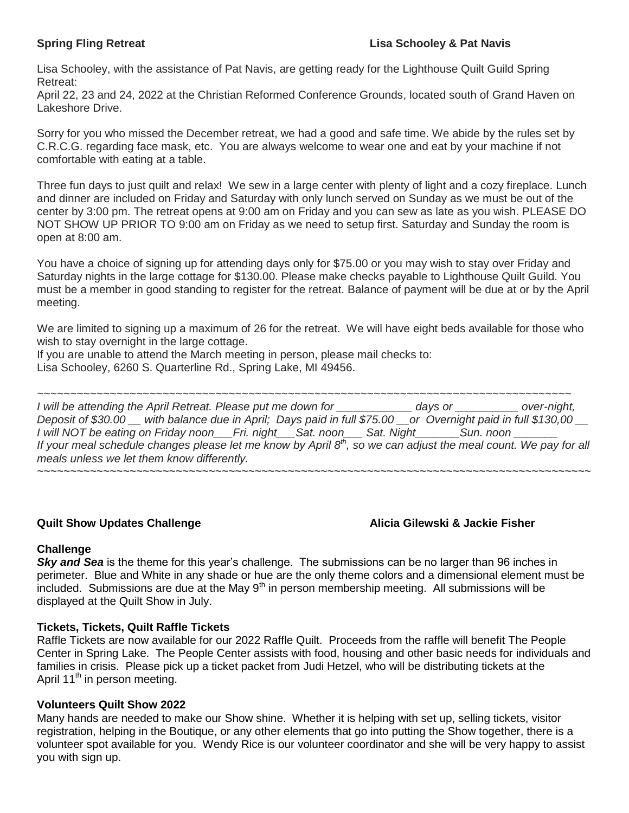Lisa Schooley, with the assistance of Pat Navis, are getting ready for the Lighthouse Quilt Guild Spring Retreat:

April 22, 23 and 24, 2022 at the Christian Reformed Conference Grounds, located south of Grand Haven on Lakeshore Drive.

Sorry for you who missed the December retreat, we had a good and safe time. We abide by the rules set by C.R.C.G. regarding face mask, etc. You are always welcome to wear one and eat by your machine if not comfortable with eating at a table.

Three fun days to just quilt and relax! We sew in a large center with plenty of light and a cozy fireplace. Lunch and dinner are included on Friday and Saturday with only lunch served on Sunday as we must be out of the center by 3:00 pm. The retreat opens at 9:00 am on Friday and you can sew as late as you wish. PLEASE DO NOT SHOW UP PRIOR TO 9:00 am on Friday as we need to setup first. Saturday and Sunday the room is open at 8:00 am.

You have a choice of signing up for attending days only for \$75.00 or you may wish to stay over Friday and Saturday nights in the large cottage for \$130.00. Please make checks payable to Lighthouse Quilt Guild. You must be a member in good standing to register for the retreat. Balance of payment will be due at or by the April meeting.

We are limited to signing up a maximum of 26 for the retreat. We will have eight beds available for those who wish to stay overnight in the large cottage.

If you are unable to attend the March meeting in person, please mail checks to: Lisa Schooley, 6260 S. Quarterline Rd., Spring Lake, MI 49456.

*~~~~~~~~~~~~~~~~~~~~~~~~~~~~~~~~~~~~~~~~~~~~~~~~~~~~~~~~~~~~~~~~~~~~~~~~~~~~~~~~~ I will be attending the April Retreat. Please put me down for \_\_\_\_\_\_\_\_\_\_\_\_ days or \_\_\_\_\_\_\_\_\_\_ over-night, Deposit of \$30.00 \_\_ with balance due in April; Days paid in full \$75.00 \_\_or Overnight paid in full \$130,00 \_\_ I* will NOT be eating on Friday noon a Fri. night and Sat. noon and Sat. Night and Sun. noon and Sun. noon and Sun. noon and Sun. noon and Sun. noon and Sun. noon and Sun. noon and Sun. noon and Sun. noon and Sun. noon an *If your meal schedule changes please let me know by April 8th, so we can adjust the meal count. We pay for all meals unless we let them know differently. ~~~~~~~~~~~~~~~~~~~~~~~~~~~~~~~~~~~~~~~~~~~~~~~~~~~~~~~~~~~~~~~~~~~~~~~~~~~~~~~~~~~~*

# **Quilt Show Updates Challenge Alicia Gilewski & Jackie Fisher**

# **Challenge**

**Sky and Sea** is the theme for this year's challenge. The submissions can be no larger than 96 inches in perimeter. Blue and White in any shade or hue are the only theme colors and a dimensional element must be  $\overline{a}$  included. Submissions are due at the May 9<sup>th</sup> in person membership meeting. All submissions will be displayed at the Quilt Show in July.

# **Tickets, Tickets, Quilt Raffle Tickets**

Raffle Tickets are now available for our 2022 Raffle Quilt. Proceeds from the raffle will benefit The People Center in Spring Lake. The People Center assists with food, housing and other basic needs for individuals and families in crisis. Please pick up a ticket packet from Judi Hetzel, who will be distributing tickets at the April 11<sup>th</sup> in person meeting.

# **Volunteers Quilt Show 2022**

Many hands are needed to make our Show shine. Whether it is helping with set up, selling tickets, visitor registration, helping in the Boutique, or any other elements that go into putting the Show together, there is a volunteer spot available for you. Wendy Rice is our volunteer coordinator and she will be very happy to assist you with sign up.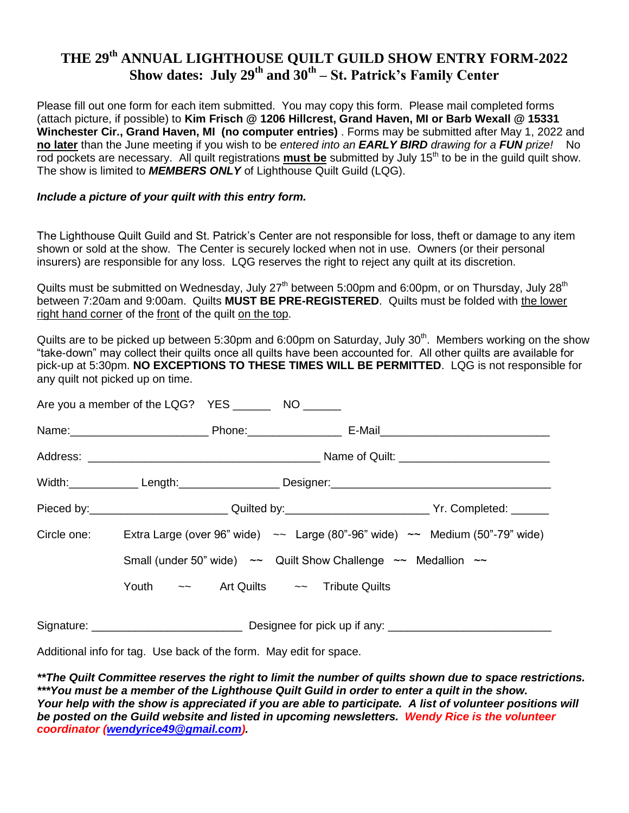# **THE 29th ANNUAL LIGHTHOUSE QUILT GUILD SHOW ENTRY FORM-2022 Show dates: July 29th and 30th – St. Patrick's Family Center**

Please fill out one form for each item submitted. You may copy this form. Please mail completed forms (attach picture, if possible) to **Kim Frisch @ 1206 Hillcrest, Grand Haven, MI or Barb Wexall @ 15331 Winchester Cir., Grand Haven, MI (no computer entries)** . Forms may be submitted after May 1, 2022 and **no later** than the June meeting if you wish to be *entered into an EARLY BIRD drawing for a FUN prize!* No rod pockets are necessary. All quilt registrations **must be** submitted by July 15<sup>th</sup> to be in the guild quilt show. The show is limited to *MEMBERS ONLY* of Lighthouse Quilt Guild (LQG).

### *Include a picture of your quilt with this entry form.*

The Lighthouse Quilt Guild and St. Patrick's Center are not responsible for loss, theft or damage to any item shown or sold at the show. The Center is securely locked when not in use. Owners (or their personal insurers) are responsible for any loss. LQG reserves the right to reject any quilt at its discretion.

Quilts must be submitted on Wednesday, July 27<sup>th</sup> between 5:00pm and 6:00pm, or on Thursday, July 28<sup>th</sup> between 7:20am and 9:00am. Quilts **MUST BE PRE-REGISTERED**. Quilts must be folded with the lower right hand corner of the front of the quilt on the top.

Quilts are to be picked up between 5:30pm and 6:00pm on Saturday, July 30<sup>th</sup>. Members working on the show "take-down" may collect their quilts once all quilts have been accounted for. All other quilts are available for pick-up at 5:30pm. **NO EXCEPTIONS TO THESE TIMES WILL BE PERMITTED**. LQG is not responsible for any quilt not picked up on time.

| Pieced by:______________________________Quilted by:___________________________Yr. Completed: _______ |  |  |  |  |  |  |
|------------------------------------------------------------------------------------------------------|--|--|--|--|--|--|
| Circle one: Extra Large (over 96" wide) $\sim$ Large (80"-96" wide) $\sim$ Medium (50"-79" wide)     |  |  |  |  |  |  |
| Small (under 50" wide) $\sim$ Quilt Show Challenge $\sim$ Medallion $\sim$                           |  |  |  |  |  |  |
| Youth $\sim$ Art Quilts $\sim$ Tribute Quilts                                                        |  |  |  |  |  |  |
|                                                                                                      |  |  |  |  |  |  |

Additional info for tag. Use back of the form. May edit for space.

*\*\*The Quilt Committee reserves the right to limit the number of quilts shown due to space restrictions. \*\*\*You must be a member of the Lighthouse Quilt Guild in order to enter a quilt in the show. Your help with the show is appreciated if you are able to participate. A list of volunteer positions will be posted on the Guild website and listed in upcoming newsletters. Wendy Rice is the volunteer coordinator [\(wendyrice49@gmail.com\)](mailto:wendyrice49@gmail.com).*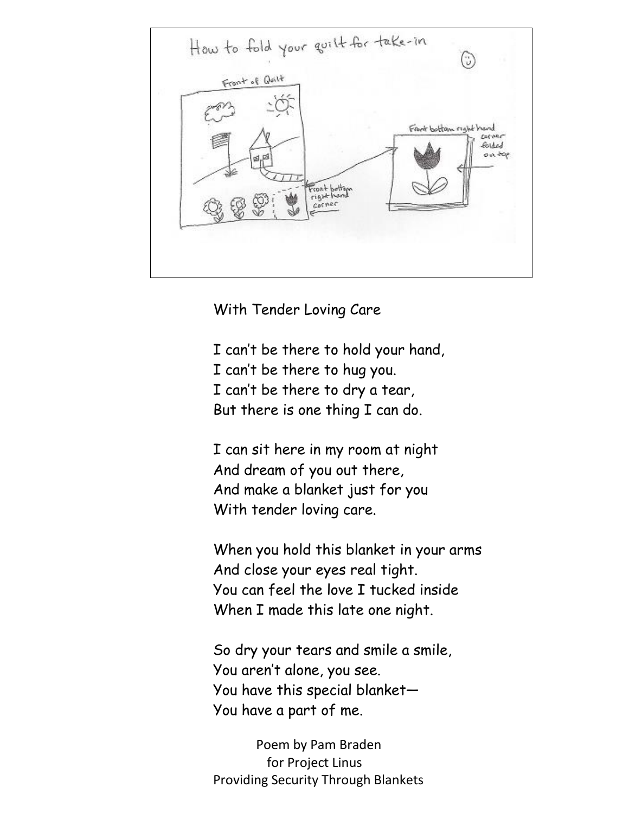

With Tender Loving Care

I can't be there to hold your hand, I can't be there to hug you. I can't be there to dry a tear, But there is one thing I can do.

I can sit here in my room at night And dream of you out there, And make a blanket just for you With tender loving care.

When you hold this blanket in your arms And close your eyes real tight. You can feel the love I tucked inside When I made this late one night.

So dry your tears and smile a smile, You aren't alone, you see. You have this special blanket— You have a part of me.

 Poem by Pam Braden for Project Linus Providing Security Through Blankets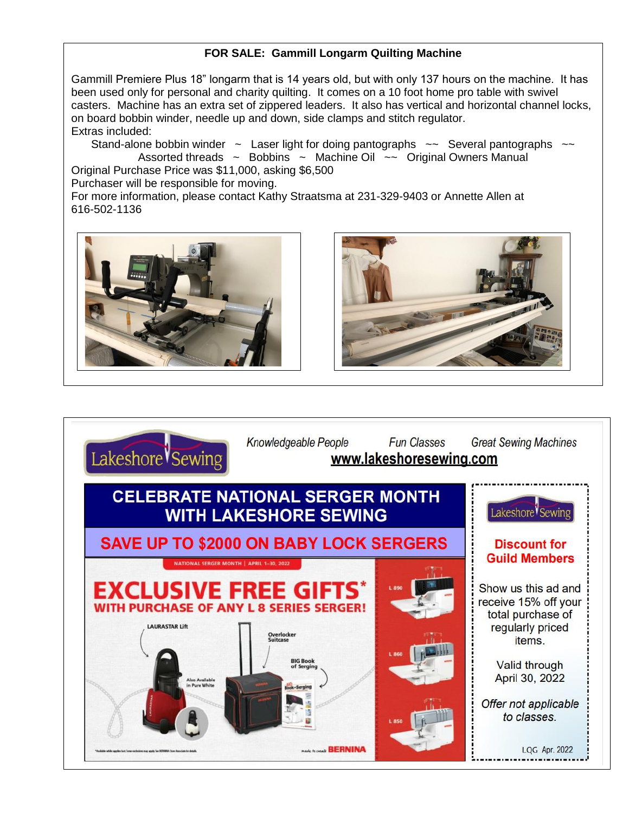# **FOR SALE: Gammill Longarm Quilting Machine**

Gammill Premiere Plus 18" longarm that is 14 years old, but with only 137 hours on the machine. It has been used only for personal and charity quilting. It comes on a 10 foot home pro table with swivel casters. Machine has an extra set of zippered leaders. It also has vertical and horizontal channel locks, on board bobbin winder, needle up and down, side clamps and stitch regulator. Extras included:

Stand-alone bobbin winder  $\sim$  Laser light for doing pantographs  $\sim$  Several pantographs  $\sim$ Assorted threads  $\sim$  Bobbins  $\sim$  Machine Oil  $\sim$  Original Owners Manual Original Purchase Price was \$11,000, asking \$6,500

Purchaser will be responsible for moving.

For more information, please contact Kathy Straatsma at 231-329-9403 or Annette Allen at 616-502-1136





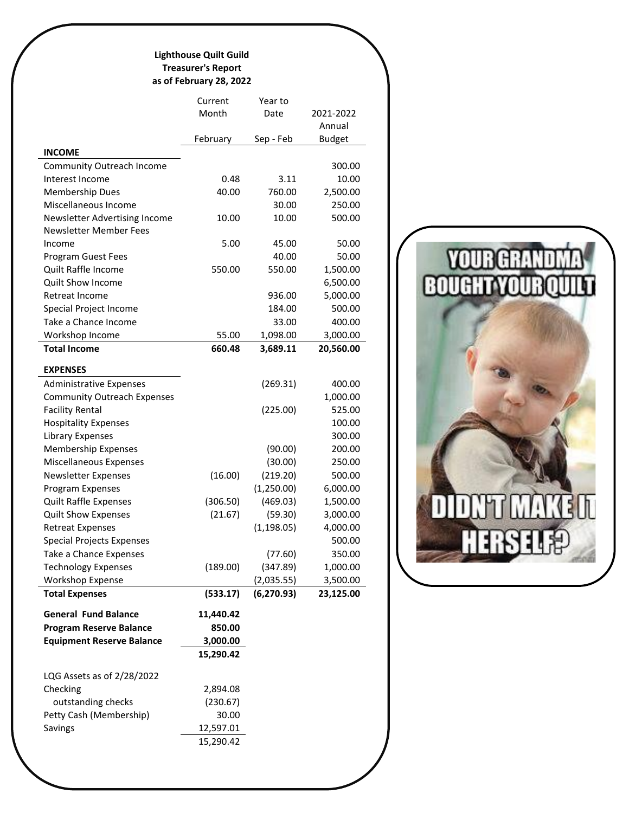### **Lighthouse Quilt Guild Treasurer's Report as of February 28, 2022**

|                                    | Current   | Year to     |               |
|------------------------------------|-----------|-------------|---------------|
|                                    | Month     | Date        | 2021-2022     |
|                                    |           |             | Annual        |
|                                    | February  | Sep - Feb   | <b>Budget</b> |
| <b>INCOME</b>                      |           |             |               |
| <b>Community Outreach Income</b>   |           |             | 300.00        |
| Interest Income                    | 0.48      | 3.11        | 10.00         |
| <b>Membership Dues</b>             | 40.00     | 760.00      | 2,500.00      |
| Miscellaneous Income               |           | 30.00       | 250.00        |
| Newsletter Advertising Income      | 10.00     | 10.00       | 500.00        |
| Newsletter Member Fees             |           |             |               |
| Income                             | 5.00      | 45.00       | 50.00         |
| <b>Program Guest Fees</b>          |           | 40.00       | 50.00         |
| Quilt Raffle Income                | 550.00    | 550.00      | 1,500.00      |
| Quilt Show Income                  |           |             | 6,500.00      |
| Retreat Income                     |           | 936.00      | 5,000.00      |
| Special Project Income             |           | 184.00      | 500.00        |
| Take a Chance Income               |           | 33.00       | 400.00        |
| Workshop Income                    | 55.00     | 1,098.00    | 3,000.00      |
| <b>Total Income</b>                | 660.48    | 3,689.11    | 20,560.00     |
|                                    |           |             |               |
| <b>EXPENSES</b>                    |           |             |               |
| <b>Administrative Expenses</b>     |           | (269.31)    | 400.00        |
| <b>Community Outreach Expenses</b> |           |             | 1,000.00      |
| <b>Facility Rental</b>             |           | (225.00)    | 525.00        |
| <b>Hospitality Expenses</b>        |           |             | 100.00        |
| Library Expenses                   |           |             | 300.00        |
| Membership Expenses                |           | (90.00)     | 200.00        |
| Miscellaneous Expenses             |           | (30.00)     | 250.00        |
| <b>Newsletter Expenses</b>         | (16.00)   | (219.20)    | 500.00        |
| Program Expenses                   |           | (1,250.00)  | 6,000.00      |
| <b>Quilt Raffle Expenses</b>       | (306.50)  | (469.03)    | 1,500.00      |
| <b>Quilt Show Expenses</b>         | (21.67)   | (59.30)     | 3,000.00      |
| <b>Retreat Expenses</b>            |           | (1, 198.05) | 4,000.00      |
| <b>Special Projects Expenses</b>   |           |             | 500.00        |
| Take a Chance Expenses             |           | (77.60)     | 350.00        |
| <b>Technology Expenses</b>         | (189.00)  | (347.89)    | 1,000.00      |
| <b>Workshop Expense</b>            |           | (2,035.55)  | 3,500.00      |
| <b>Total Expenses</b>              | (533.17)  | (6, 270.93) | 23,125.00     |
| <b>General Fund Balance</b>        | 11,440.42 |             |               |
| <b>Program Reserve Balance</b>     | 850.00    |             |               |
| <b>Equipment Reserve Balance</b>   | 3,000.00  |             |               |
|                                    | 15,290.42 |             |               |
|                                    |           |             |               |
| LQG Assets as of 2/28/2022         |           |             |               |
| Checking                           | 2,894.08  |             |               |
| outstanding checks                 | (230.67)  |             |               |
| Petty Cash (Membership)            | 30.00     |             |               |
| Savings                            | 12,597.01 |             |               |
|                                    | 15,290.42 |             |               |
|                                    |           |             |               |